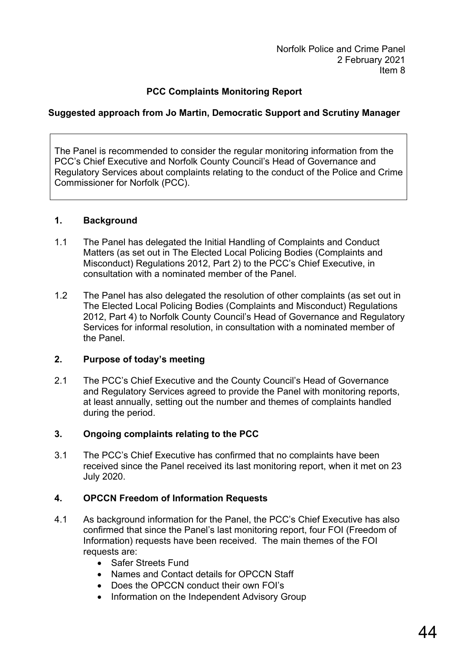Norfolk Police and Crime Panel 2 February 2021 Item 8

# **PCC Complaints Monitoring Report**

### **Suggested approach from Jo Martin, Democratic Support and Scrutiny Manager**

The Panel is recommended to consider the regular monitoring information from the PCC's Chief Executive and Norfolk County Council's Head of Governance and Regulatory Services about complaints relating to the conduct of the Police and Crime Commissioner for Norfolk (PCC).

#### **1. Background**

- 1.1 The Panel has delegated the Initial Handling of Complaints and Conduct Matters (as set out in The Elected Local Policing Bodies (Complaints and Misconduct) Regulations 2012, Part 2) to the PCC's Chief Executive, in consultation with a nominated member of the Panel.
- 1.2 The Panel has also delegated the resolution of other complaints (as set out in The Elected Local Policing Bodies (Complaints and Misconduct) Regulations 2012, Part 4) to Norfolk County Council's Head of Governance and Regulatory Services for informal resolution, in consultation with a nominated member of the Panel.

#### **2. Purpose of today's meeting**

2.1 The PCC's Chief Executive and the County Council's Head of Governance and Regulatory Services agreed to provide the Panel with monitoring reports, at least annually, setting out the number and themes of complaints handled during the period.

#### **3. Ongoing complaints relating to the PCC**

3.1 The PCC's Chief Executive has confirmed that no complaints have been received since the Panel received its last monitoring report, when it met on 23 July 2020.

#### **4. OPCCN Freedom of Information Requests**

- 4.1 As background information for the Panel, the PCC's Chief Executive has also confirmed that since the Panel's last monitoring report, four FOI (Freedom of Information) requests have been received. The main themes of the FOI requests are:
	- Safer Streets Fund
	- Names and Contact details for OPCCN Staff
	- Does the OPCCN conduct their own FOI's
	- Information on the Independent Advisory Group